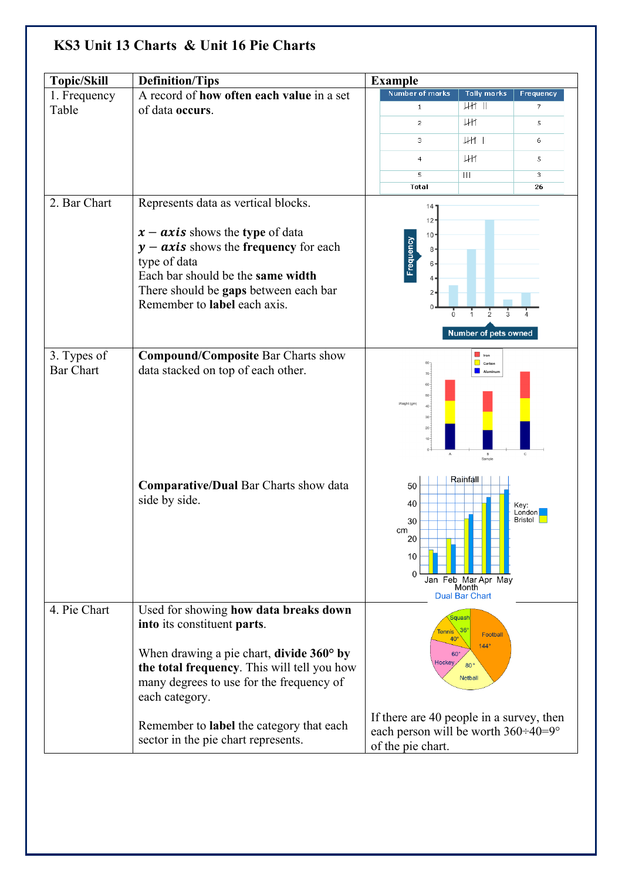| <b>Topic/Skill</b>              | <b>Definition/Tips</b>                                                                                                                                                                                                                            | <b>Example</b>                                                                                                        |                                                                   |                           |  |
|---------------------------------|---------------------------------------------------------------------------------------------------------------------------------------------------------------------------------------------------------------------------------------------------|-----------------------------------------------------------------------------------------------------------------------|-------------------------------------------------------------------|---------------------------|--|
| 1. Frequency                    | A record of how often each value in a set                                                                                                                                                                                                         | Number of marks                                                                                                       | <b>Tally marks</b>                                                | <b>Frequency</b>          |  |
| Table                           | of data occurs.                                                                                                                                                                                                                                   | $\mathbf{1}$                                                                                                          | HH 11                                                             | 7                         |  |
|                                 |                                                                                                                                                                                                                                                   | $\overline{c}$                                                                                                        | HН                                                                | 5                         |  |
|                                 |                                                                                                                                                                                                                                                   | З                                                                                                                     | $\downarrow$ H $\uparrow$                                         | 6                         |  |
|                                 |                                                                                                                                                                                                                                                   | $\overline{4}$                                                                                                        | HН                                                                | 5                         |  |
|                                 |                                                                                                                                                                                                                                                   | 5                                                                                                                     | $\mathbf{III}$                                                    | 3                         |  |
|                                 |                                                                                                                                                                                                                                                   | Total                                                                                                                 |                                                                   | 26                        |  |
| 2. Bar Chart                    | Represents data as vertical blocks.<br>$x - axis$ shows the type of data<br>$y - axis$ shows the frequency for each<br>type of data<br>Each bar should be the same width<br>There should be gaps between each bar<br>Remember to label each axis. | 14<br>$12 -$<br>10 <sub>1</sub><br>Frequency<br>8 <sub>0</sub><br>$6 -$<br>4<br>$\overline{2}$<br>$\Omega$<br>0       | Number of pets owned                                              |                           |  |
| 3. Types of<br><b>Bar Chart</b> | <b>Compound/Composite Bar Charts show</b><br>data stacked on top of each other.                                                                                                                                                                   | $70 -$<br>$60 -$<br>$50 -$<br>Weight (gm)<br>40 <sup>1</sup><br>$30 -$<br>$20 -$<br>$10 -$<br>$\overline{A}$          | $\Box$ Iron<br>$\Box$ Carbon<br>Aluminum<br>B<br>Sample           | $_{\rm c}$                |  |
|                                 | Comparative/Dual Bar Charts show data<br>side by side.                                                                                                                                                                                            | 50<br>40<br>30<br>cm<br>20<br>10<br>$\Omega$                                                                          | Rainfall<br>Jan Feb Mar Apr May<br>Month<br><b>Dual Bar Chart</b> | Key:<br>London<br>Bristol |  |
| 4. Pie Chart                    | Used for showing how data breaks down<br>into its constituent parts.                                                                                                                                                                              |                                                                                                                       | Squash<br>36'                                                     |                           |  |
|                                 | When drawing a pie chart, divide $360^{\circ}$ by<br>the total frequency. This will tell you how<br>many degrees to use for the frequency of<br>each category.                                                                                    | <b>Tennis</b><br>Football<br>40 <sup>o</sup><br>$144^\circ$<br>$60^\circ$<br>Hockey<br>$80^{\circ}$<br><b>Netball</b> |                                                                   |                           |  |
|                                 | Remember to label the category that each<br>sector in the pie chart represents.                                                                                                                                                                   | If there are 40 people in a survey, then<br>each person will be worth $360 \div 40 = 9^\circ$<br>of the pie chart.    |                                                                   |                           |  |

## **KS3 Unit 13 Charts & Unit 16 Pie Charts**